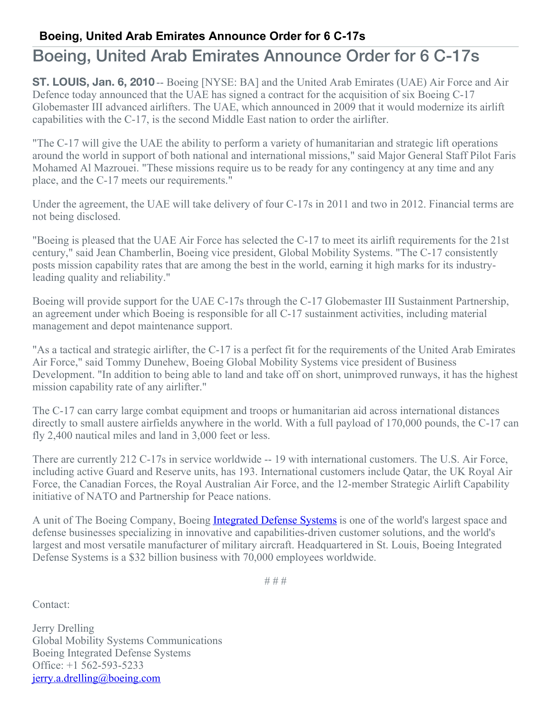## **Boeing, United Arab Emirates Announce Order for 6 C-17s**

## Boeing, United Arab Emirates Announce Order for 6 C-17s

**ST. LOUIS, Jan. 6, 2010** -- Boeing [NYSE: BA] and the United Arab Emirates (UAE) Air Force and Air Defence today announced that the UAE has signed a contract for the acquisition of six Boeing C-17 Globemaster III advanced airlifters. The UAE, which announced in 2009 that it would modernize its airlift capabilities with the C-17, is the second Middle East nation to order the airlifter.

"The C-17 will give the UAE the ability to perform a variety of humanitarian and strategic lift operations around the world in support of both national and international missions," said Major General Staff Pilot Faris Mohamed Al Mazrouei. "These missions require us to be ready for any contingency at any time and any place, and the C-17 meets our requirements."

Under the agreement, the UAE will take delivery of four C-17s in 2011 and two in 2012. Financial terms are not being disclosed.

"Boeing is pleased that the UAE Air Force has selected the C-17 to meet its airlift requirements for the 21st century," said Jean Chamberlin, Boeing vice president, Global Mobility Systems. "The C-17 consistently posts mission capability rates that are among the best in the world, earning it high marks for its industryleading quality and reliability."

Boeing will provide support for the UAE C-17s through the C-17 Globemaster III Sustainment Partnership, an agreement under which Boeing is responsible for all C-17 sustainment activities, including material management and depot maintenance support.

"As a tactical and strategic airlifter, the C-17 is a perfect fit for the requirements of the United Arab Emirates Air Force," said Tommy Dunehew, Boeing Global Mobility Systems vice president of Business Development. "In addition to being able to land and take off on short, unimproved runways, it has the highest mission capability rate of any airlifter."

The C-17 can carry large combat equipment and troops or humanitarian aid across international distances directly to small austere airfields anywhere in the world. With a full payload of 170,000 pounds, the C-17 can fly 2,400 nautical miles and land in 3,000 feet or less.

There are currently 212 C-17s in service worldwide -- 19 with international customers. The U.S. Air Force, including active Guard and Reserve units, has 193. International customers include Qatar, the UK Royal Air Force, the Canadian Forces, the Royal Australian Air Force, and the 12-member Strategic Airlift Capability initiative of NATO and Partnership for Peace nations.

A unit of The Boeing Company, Boeing [Integrated](http://www.boeing.com/ids) Defense Systems is one of the world's largest space and defense businesses specializing in innovative and capabilities-driven customer solutions, and the world's largest and most versatile manufacturer of military aircraft. Headquartered in St. Louis, Boeing Integrated Defense Systems is a \$32 billion business with 70,000 employees worldwide.

# # #

Contact:

Jerry Drelling Global Mobility Systems Communications Boeing Integrated Defense Systems Office: +1 562-593-5233 [jerry.a.drelling@boeing.com](mailto:jerry.a.drelling@boeing.com)